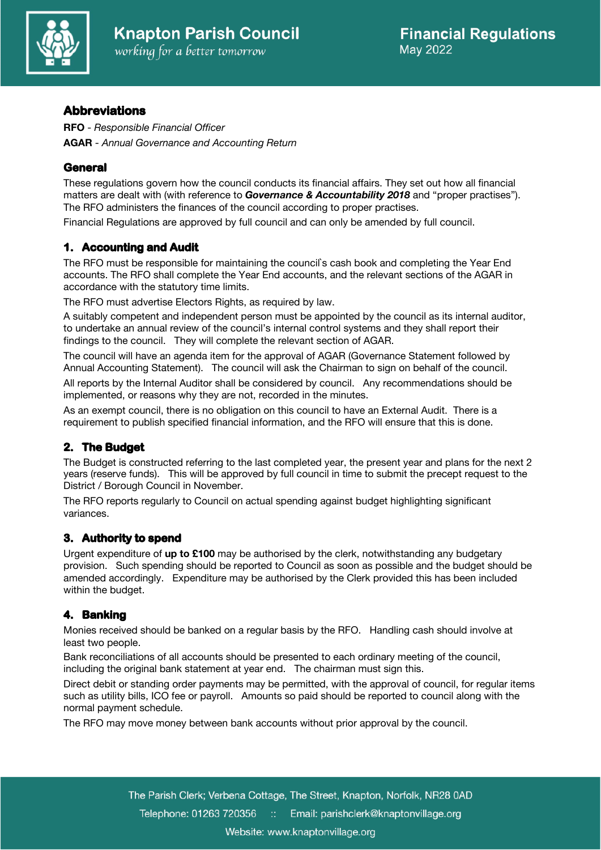

# **Abbreviations**

**RFO** - *Responsible Financial Officer*  **AGAR** - *Annual Governance and Accounting Return*

# **General**

These regulations govern how the council conducts its financial affairs. They set out how all financial matters are dealt with (with reference to *Governance & Accountability 2018* and "proper practises"). The RFO administers the finances of the council according to proper practises.

Financial Regulations are approved by full council and can only be amended by full council.

# **1. Accounting and Audit**

The RFO must be responsible for maintaining the council`s cash book and completing the Year End accounts. The RFO shall complete the Year End accounts, and the relevant sections of the AGAR in accordance with the statutory time limits.

The RFO must advertise Electors Rights, as required by law.

A suitably competent and independent person must be appointed by the council as its internal auditor, to undertake an annual review of the council's internal control systems and they shall report their findings to the council. They will complete the relevant section of AGAR.

The council will have an agenda item for the approval of AGAR (Governance Statement followed by Annual Accounting Statement). The council will ask the Chairman to sign on behalf of the council.

All reports by the Internal Auditor shall be considered by council. Any recommendations should be implemented, or reasons why they are not, recorded in the minutes.

As an exempt council, there is no obligation on this council to have an External Audit. There is a requirement to publish specified financial information, and the RFO will ensure that this is done.

# **2. The Budget**

The Budget is constructed referring to the last completed year, the present year and plans for the next 2 years (reserve funds). This will be approved by full council in time to submit the precept request to the District / Borough Council in November.

The RFO reports regularly to Council on actual spending against budget highlighting significant variances.

# **3. Authority to spend**

Urgent expenditure of **up to £100** may be authorised by the clerk, notwithstanding any budgetary provision. Such spending should be reported to Council as soon as possible and the budget should be amended accordingly. Expenditure may be authorised by the Clerk provided this has been included within the budget.

# **4. Banking**

Monies received should be banked on a regular basis by the RFO. Handling cash should involve at least two people.

Bank reconciliations of all accounts should be presented to each ordinary meeting of the council, including the original bank statement at year end. The chairman must sign this.

Direct debit or standing order payments may be permitted, with the approval of council, for regular items such as utility bills, ICO fee or payroll. Amounts so paid should be reported to council along with the normal payment schedule.

The RFO may move money between bank accounts without prior approval by the council.

The Parish Clerk; Verbena Cottage, The Street, Knapton, Norfolk, NR28 0AD Telephone: 01263 720356 Email: parishclerk@knaptonvillage.org Website: www.knaptonvillage.org